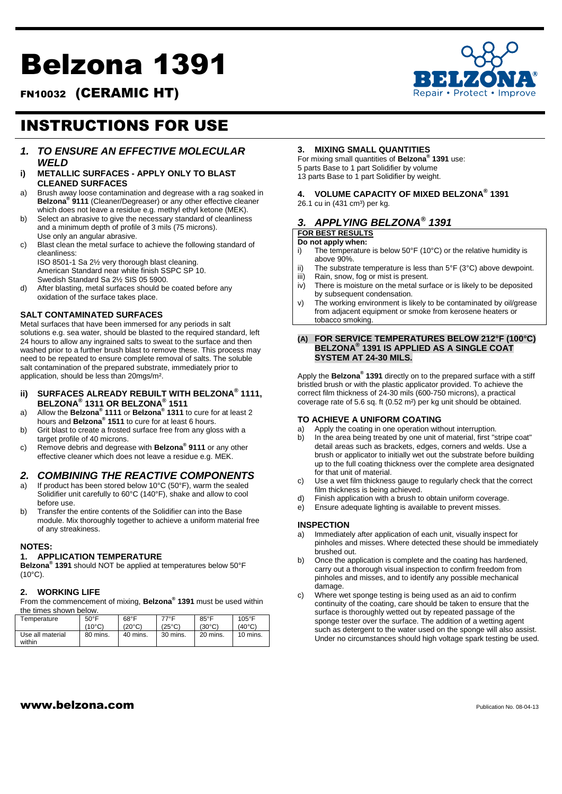# Belzona 1391



FN10032 (CERAMIC HT)

# INSTRUCTIONS FOR USE

- *1. TO ENSURE AN EFFECTIVE MOLECULAR WELD*
- **i) METALLIC SURFACES - APPLY ONLY TO BLAST CLEANED SURFACES**
- a) Brush away loose contamination and degrease with a rag soaked in **Belzona® 9111** (Cleaner/Degreaser) or any other effective cleaner which does not leave a residue e.g. methyl ethyl ketone (MEK).
- b) Select an abrasive to give the necessary standard of cleanliness and a minimum depth of profile of 3 mils (75 microns). Use only an angular abrasive.
- c) Blast clean the metal surface to achieve the following standard of cleanliness:

ISO 8501-1 Sa 2½ very thorough blast cleaning. American Standard near white finish SSPC SP 10. Swedish Standard Sa 2½ SIS 05 5900.

d) After blasting, metal surfaces should be coated before any oxidation of the surface takes place.

#### **SALT CONTAMINATED SURFACES**

Metal surfaces that have been immersed for any periods in salt solutions e.g. sea water, should be blasted to the required standard, left 24 hours to allow any ingrained salts to sweat to the surface and then washed prior to a further brush blast to remove these. This process may need to be repeated to ensure complete removal of salts. The soluble salt contamination of the prepared substrate, immediately prior to application, should be less than 20mgs/m².

- **ii) SURFACES ALREADY REBUILT WITH BELZONA® 1111, BELZONA® 1311 OR BELZONA® 1511**
- a) Allow the **Belzona® 1111** or **Belzona® 1311** to cure for at least 2 hours and **Belzona® 1511** to cure for at least 6 hours.
- b) Grit blast to create a frosted surface free from any gloss with a target profile of 40 microns.
- c) Remove debris and degrease with **Belzona® 9111** or any other effective cleaner which does not leave a residue e.g. MEK.

# *2. COMBINING THE REACTIVE COMPONENTS*

- a) If product has been stored below 10°C (50°F), warm the sealed Solidifier unit carefully to 60°C (140°F), shake and allow to cool before use.
- b) Transfer the entire contents of the Solidifier can into the Base module. Mix thoroughly together to achieve a uniform material free of any streakiness.

#### **NOTES:**

#### **1. APPLICATION TEMPERATURE**

**Belzona® 1391** should NOT be applied at temperatures below 50°F (10°C).

#### **2. WORKING LIFE**

From the commencement of mixing, **Belzona® 1391** must be used within the times shown below.

| Temperature                | $50^{\circ}$ F  | $68^{\circ}$ F | 77°F            | 85°F            | $105^{\circ}$ F |
|----------------------------|-----------------|----------------|-----------------|-----------------|-----------------|
|                            | $(10^{\circ}C)$ | (20°C)         | $(25^{\circ}C)$ | $(30^{\circ}C)$ | $(40^{\circ}C)$ |
| Use all material<br>within | 80 mins.        | 40 mins.       | 30 mins.        | 20 mins.        | 10 mins.        |

#### **3. MIXING SMALL QUANTITIES**

For mixing small quantities of **Belzona® 1391** use: 5 parts Base to 1 part Solidifier by volume 13 parts Base to 1 part Solidifier by weight.

# **4. VOLUME CAPACITY OF MIXED BELZONA® 1391**

26.1 cu in (431 cm<sup>3</sup>) per kg.

# *3. APPLYING BELZONA® 1391*

#### **FOR BEST RESULTS Do not apply when:**

- i) The temperature is below 50°F (10°C) or the relative humidity is above 90%.
- ii) The substrate temperature is less than 5°F (3°C) above dewpoint.
- iii) Rain, snow, fog or mist is present.
- iv) There is moisture on the metal surface or is likely to be deposited by subsequent condensation.
- v) The working environment is likely to be contaminated by oil/grease from adjacent equipment or smoke from kerosene heaters or tobacco smoking.

#### **(A) FOR SERVICE TEMPERATURES BELOW 212°F (100°C) BELZONA® 1391 IS APPLIED AS A SINGLE COAT SYSTEM AT 24-30 MILS.**

Apply the **Belzona® 1391** directly on to the prepared surface with a stiff bristled brush or with the plastic applicator provided. To achieve the correct film thickness of 24-30 mils (600-750 microns), a practical coverage rate of 5.6 sq. ft (0.52 m²) per kg unit should be obtained.

#### **TO ACHIEVE A UNIFORM COATING**

- a) Apply the coating in one operation without interruption.
- b) In the area being treated by one unit of material, first "stripe coat" detail areas such as brackets, edges, corners and welds. Use a brush or applicator to initially wet out the substrate before building up to the full coating thickness over the complete area designated for that unit of material.
- c) Use a wet film thickness gauge to regularly check that the correct film thickness is being achieved.
- d) Finish application with a brush to obtain uniform coverage.
- e) Ensure adequate lighting is available to prevent misses.

#### **INSPECTION**

- Immediately after application of each unit, visually inspect for pinholes and misses. Where detected these should be immediately brushed out.
- b) Once the application is complete and the coating has hardened, carry out a thorough visual inspection to confirm freedom from pinholes and misses, and to identify any possible mechanical damage.
- c) Where wet sponge testing is being used as an aid to confirm continuity of the coating, care should be taken to ensure that the surface is thoroughly wetted out by repeated passage of the sponge tester over the surface. The addition of a wetting agent such as detergent to the water used on the sponge will also assist. Under no circumstances should high voltage spark testing be used.

# www.belzona.com Publication No. 08-04-13